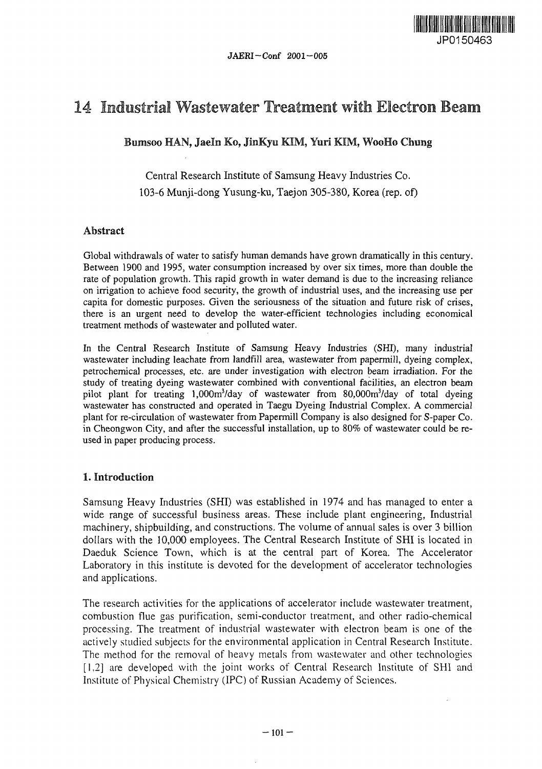

# 14 Industrial Wastewater Treatment with Electron Beam

Bumsoo HAN, Jaeln Ko, JinKyu KIM, Yuri KIM, WooHo Chung

Central Research Institute of Samsung Heavy Industries Co. 103-6 Munji-dong Yusung-ku, Taejon 305-380, Korea (rep. of)

## Abstract

Global withdrawals of water to satisfy human demands have grown dramatically in this century. Between 1900 and 1995, water consumption increased by over six times, more than double the rate of population growth. This rapid growth in water demand is due to the increasing reliance on irrigation to achieve food security, the growth of industrial uses, and the increasing use per capita for domestic purposes. Given the seriousness of the situation and future risk of crises, there is an urgent need to develop the water-efficient technologies including economical treatment methods of wastewater and polluted water.

In the Central Research Institute of Samsung Heavy Industries (SHI), many industrial wastewater including leachate from landfill area, wastewater from papermill, dyeing complex, petrochemical processes, etc. are under investigation with electron beam irradiation. For the study of treating dyeing wastewater combined with conventional facilities, an electron beam pilot plant for treating 1,000m<sup>3</sup>/day of wastewater from 80,000m<sup>3</sup>/day of total dyeing wastewater has constructed and operated in Taegu Dyeing Industrial Complex. A commercial plant for re-circulation of wastewater from Papermill Company is also designed for S-paper Co. in Cheongwon City, and after the successful installation, up to 80% of wastewater could be reused in paper producing process.

# 1. Introduction

Samsung Heavy Industries (SHI) was established in 1974 and has managed to enter a wide range of successful business areas. These include plant engineering, Industrial machinery, shipbuilding, and constructions. The volume of annual sales is over 3 billion dollars with the 10,000 employees. The Central Research Institute of SHI is located in Daeduk Science Town, which is at the central part of Korea. The Accelerator Laboratory in this institute is devoted for the development of accelerator technologies and applications.

The research activities for the applications of accelerator include wastewater treatment, combustion flue gas purification, semi-conductor treatment, and other radio-chemical processing. The treatment of industrial wastewater with electron beam is one of the actively studied subjects for the environmental application in Central Research Institute. The method for the removal of heavy metals from wastewater and other technologies [1,2] are developed with the joint works of Central Research Institute of SHI and Institute of Physical Chemistry (IPC) of Russian Academy of Sciences.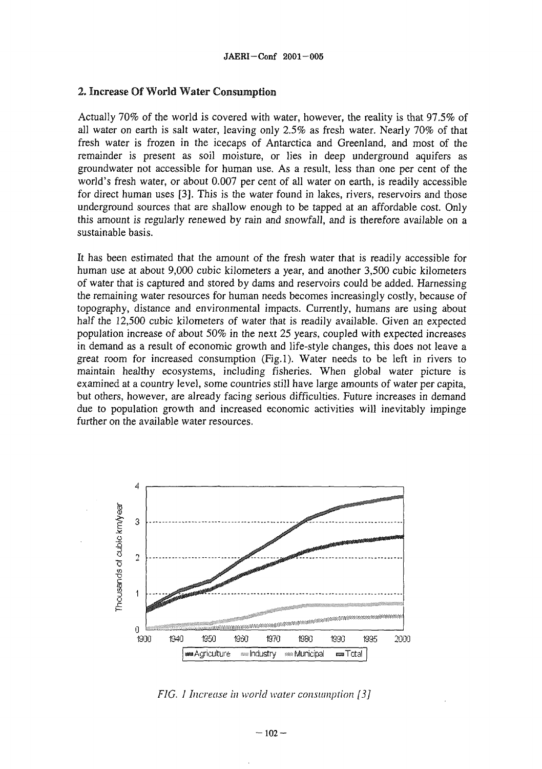#### 2. Increase Of World Water Consumption

Actually 70% of the world is covered with water, however, the reality is that 97.5% of all water on earth is salt water, leaving only 2.5% as fresh water. Nearly 70% of that fresh water is frozen in the icecaps of Antarctica and Greenland, and most of the remainder is present as soil moisture, or lies in deep underground aquifers as groundwater not accessible for human use. As a result, less than one per cent of the world's fresh water, or about 0.007 per cent of all water on earth, is readily accessible for direct human uses [3]. This is the water found in lakes, rivers, reservoirs and those underground sources that are shallow enough to be tapped at an affordable cost. Only this amount is regularly renewed by rain and snowfall, and is therefore available on a sustainable basis.

It has been estimated that the amount of the fresh water that is readily accessible for human use at about 9,000 cubic kilometers a year, and another 3,500 cubic kilometers of water that is captured and stored by dams and reservoirs could be added. Harnessing the remaining water resources for human needs becomes increasingly costly, because of topography, distance and environmental impacts. Currently, humans are using about half the 12,500 cubic kilometers of water that is readily available. Given an expected population increase of about *50%* in the next 25 years, coupled with expected increases in demand as a result of economic growth and life-style changes, this does not leave a great room for increased consumption (Fig.l). Water needs to be left in rivers to maintain healthy ecosystems, including fisheries. When global water picture is examined at a country level, some countries still have large amounts of water per capita, but others, however, are already facing serious difficulties. Future increases in demand due to population growth and increased economic activities will inevitably impinge further on the available water resources.



*FIG. 1 Increase in world water consumption [3]*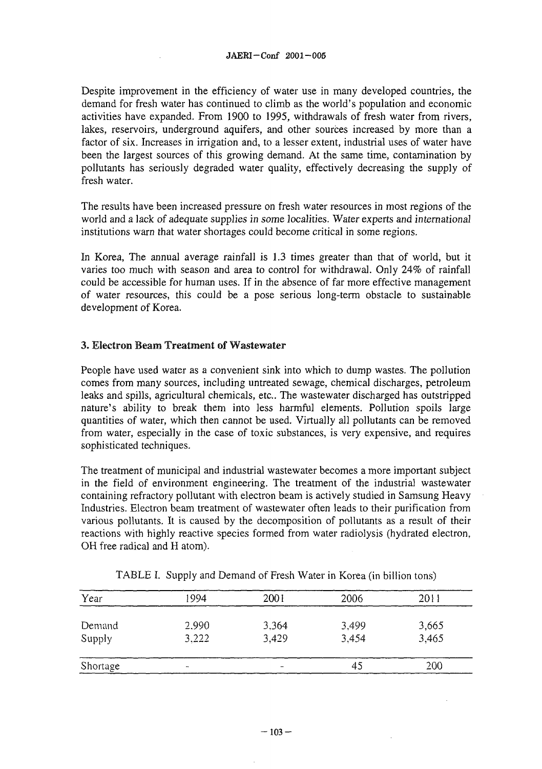Despite improvement in the efficiency of water use in many developed countries, the demand for fresh water has continued to climb as the world's population and economic activities have expanded. From 1900 to 1995, withdrawals of fresh water from rivers, lakes, reservoirs, underground aquifers, and other sources increased by more than a factor of six. Increases in irrigation and, to a lesser extent, industrial uses of water have been the largest sources of this growing demand. At the same time, contamination by pollutants has seriously degraded water quality, effectively decreasing the supply of fresh water.

The results have been increased pressure on fresh water resources in most regions of the world and a lack of adequate supplies in some localities. Water experts and international institutions warn that water shortages could become critical in some regions.

In Korea, The annual average rainfall is 1.3 times greater than that of world, but it varies too much with season and area to control for withdrawal. Only 24% of rainfall could be accessible for human uses. If in the absence of far more effective management of water resources, this could be a pose serious long-term obstacle to sustainable development of Korea.

# 3. Electron Beam Treatment of Wastewater

People have used water as a convenient sink into which to dump wastes. The pollution comes from many sources, including untreated sewage, chemical discharges, petroleum leaks and spills, agricultural chemicals, etc.. The wastewater discharged has outstripped nature's ability to break them into less harmful elements. Pollution spoils large quantities of water, which then cannot be used. Virtually all pollutants can be removed from water, especially in the case of toxic substances, is very expensive, and requires sophisticated techniques.

The treatment of municipal and industrial wastewater becomes a more important subject in the field of environment engineering. The treatment of the industrial wastewater containing refractory pollutant with electron beam is actively studied in Samsung Heavy Industries. Electron beam treatment of wastewater often leads to their purification from various pollutants. It is caused by the decomposition of pollutants as a result of their reactions with highly reactive species formed from water radiolysis (hydrated electron, OH free radical and H atom).

| Year     | 1994          | 2001  | 2006  | 2011  |
|----------|---------------|-------|-------|-------|
| Demand   | 2.990         | 3,364 | 3,499 | 3,665 |
| Supply   | 3.222         | 3.429 | 3.454 | 3.465 |
| Shortage | $\rightarrow$ |       | 45    | 200   |

|  |  |  |  |  |  | TABLE I. Supply and Demand of Fresh Water in Korea (in billion tons) |
|--|--|--|--|--|--|----------------------------------------------------------------------|
|--|--|--|--|--|--|----------------------------------------------------------------------|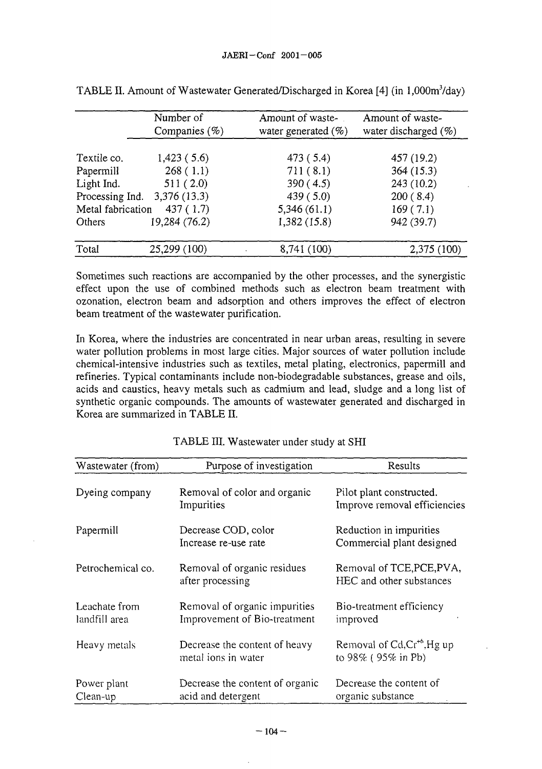|                   | Number of        | Amount of waste-       | Amount of waste-         |  |
|-------------------|------------------|------------------------|--------------------------|--|
|                   | Companies $(\%)$ | water generated $(\%)$ | water discharged $(\% )$ |  |
|                   |                  |                        |                          |  |
| Textile co.       | 1,423(5.6)       | 473 (5.4)              | 457 (19.2)               |  |
| Papermill         | 268(1.1)         | 711(8.1)               | 364(15.3)                |  |
| Light Ind.        | 511(2.0)         | 390(4.5)               | 243(10.2)                |  |
| Processing Ind.   | 3,376 (13.3)     | 439(5.0)               | 200(8.4)                 |  |
| Metal fabrication | 437(1.7)         | 5,346(61.1)            | 169(7.1)                 |  |
| Others            | 19,284 (76.2)    | 1,382(15.8)            | 942 (39.7)               |  |
| Total             | 25,299 (100)     | 8,741 (100)            | 2,375 (100)              |  |

| TABLE II. Amount of Wastewater Generated/Discharged in Korea [4] (in 1,000m <sup>3</sup> /day) |  |  |  |  |
|------------------------------------------------------------------------------------------------|--|--|--|--|
|------------------------------------------------------------------------------------------------|--|--|--|--|

Sometimes such reactions are accompanied by the other processes, and the synergistic effect upon the use of combined methods such as electron beam treatment with ozonation, electron beam and adsorption and others improves the effect of electron beam treatment of the wastewater purification.

In Korea, where the industries are concentrated in near urban areas, resulting in severe water pollution problems in most large cities. Major sources of water pollution include chemical-intensive industries such as textiles, metal plating, electronics, papermill and refineries. Typical contaminants include non-biodegradable substances, grease and oils, acids and caustics, heavy metals such as cadmium and lead, sludge and a long list of synthetic organic compounds. The amounts of wastewater generated and discharged in Korea are summarized in TABLE II.

| Wastewater (from)              | Purpose of investigation                                      | Results                                                  |
|--------------------------------|---------------------------------------------------------------|----------------------------------------------------------|
| Dyeing company                 | Removal of color and organic<br>Impurities                    | Pilot plant constructed.<br>Improve removal efficiencies |
| Papermill                      | Decrease COD, color<br>Increase re-use rate                   | Reduction in impurities<br>Commercial plant designed     |
| Petrochemical co.              | Removal of organic residues<br>after processing               | Removal of TCE, PCE, PVA,<br>HEC and other substances    |
| Leachate from<br>landfill area | Removal of organic impurities<br>Improvement of Bio-treatment | Bio-treatment efficiency<br>improved                     |
| Heavy metals                   | Decrease the content of heavy<br>metal ions in water          | Removal of $Cd, Cr^{+6}, Hg$ up<br>to $98\%$ (95% in Pb) |
| Power plant<br>Clean-up        | Decrease the content of organic<br>acid and detergent         | Decrease the content of<br>organic substance             |

|  | TABLE III. Wastewater under study at SHI |  |
|--|------------------------------------------|--|
|--|------------------------------------------|--|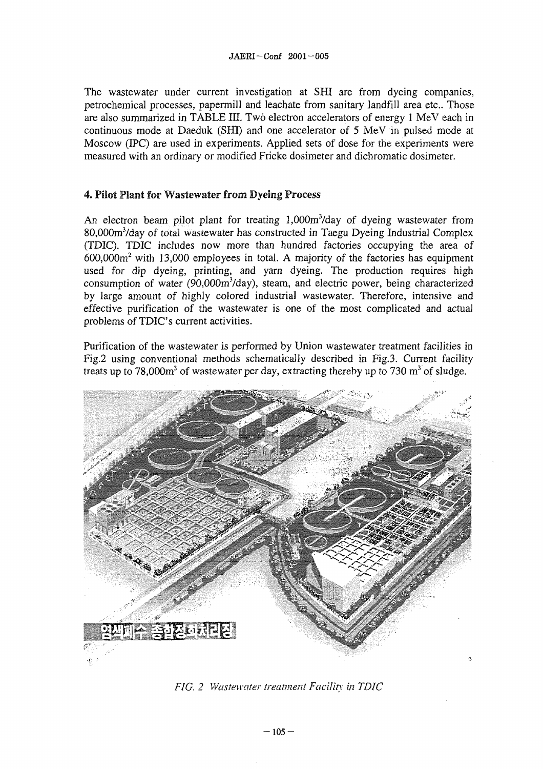The wastewater under current investigation at SHI are from dyeing companies, petrochemical processes, papermill and leachate from sanitary landfill area etc.. Those are also summarized in TABLE III. Two electron accelerators of energy 1 MeV each in continuous mode at Daeduk (SHI) and one accelerator of 5 MeV in pulsed mode at Moscow (IPC) are used in experiments. Applied sets of dose for the experiments were measured with an ordinary or modified Fricke dosimeter and dichromatic dosimeter.

## 4. Pilot Plant for Wastewater from Dyeing Process

An electron beam pilot plant for treating 1,000m<sup>3</sup>/day of dyeing wastewater from 80,000m<sup>3</sup>/day of total wastewater has constructed in Taegu Dyeing Industrial Complex (TDIC). TDIC includes now more than hundred factories occupying the area of 600,000m<sup>2</sup> with 13,000 employees in total. A majority of the factories has equipment used for dip dyeing, printing, and yarn dyeing. The production requires high consumption of water  $(90,000m^3/day)$ , steam, and electric power, being characterized by large amount of highly colored industrial wastewater. Therefore, intensive and effective purification of the wastewater is one of the most complicated and actual problems of TDIC's current activities.

Purification of the wastewater is performed by Union wastewater treatment facilities in Fig.2 using conventional methods schematically described in Fig.3. Current facility treats up to 78,000 $m<sup>3</sup>$  of wastewater per day, extracting thereby up to 730  $m<sup>3</sup>$  of sludge.



*FIG. 2 Wastewater treatment Facility' in TDIC*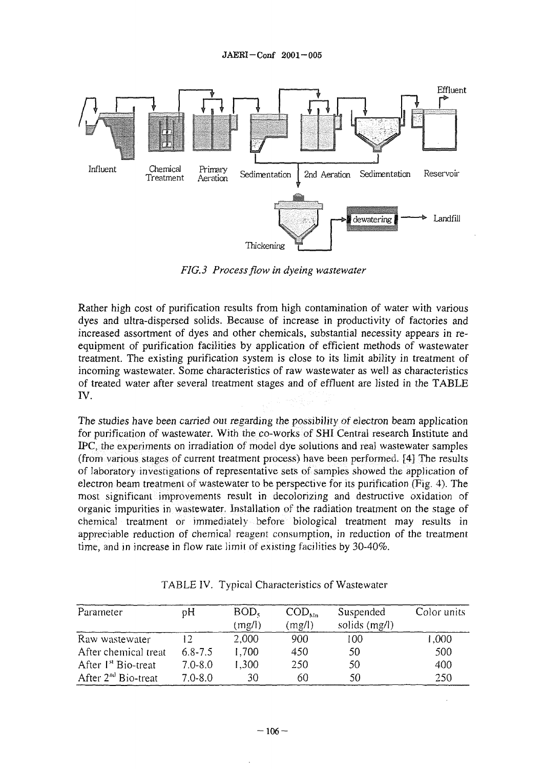

*FIG. 3 Process flow in dyeing wastewater*

Rather high cost of purification results from high contamination of water with various dyes and ultra-dispersed solids. Because of increase in productivity of factories and increased assortment of dyes and other chemicals, substantial necessity appears in reequipment of purification facilities by application of efficient methods of wastewater treatment. The existing purification system is close to its limit ability in treatment of incoming wastewater. Some characteristics of raw wastewater as well as characteristics of treated water after several treatment stages and of effluent are listed in the TABLE IV.

The studies have been carried out regarding the possibility of electron beam application for purification of wastewater. With the co-works of SHI Central research Institute and IPC. ihe experiments on irradiation of model dye solutions and real wastewater samples (from various stages of current treatment process) have been performed. [4] The results of laboratory investigations of representative sets of samples showed the application of electron beam treatment of wastewater to be perspective for its purification (Fig. 4). The most significant improvements result in decolorizing and destructive oxidation of organic impurities in wastewater. Installation of the radiation treatment on the stage of chemical treatment or immediately before biological treatment may results in appreciable reduction of chemical reagent consumption, in reduction of the treatment time, and in increase in flow rate limit of existing facilities by 30-40%.

| Parameter                       | pН          | BOD <sub>5</sub><br>(mg/l) | $\mathrm{COD}_{\mathrm{Mn}}$<br>(mg/l) | Suspended<br>solids (mg/l) | Color units |
|---------------------------------|-------------|----------------------------|----------------------------------------|----------------------------|-------------|
| Raw wastewater                  |             | 2,000                      | 900                                    | 100                        | 1.000       |
| After chemical treat            | $6.8 - 7.5$ | 1,700                      | 450                                    | 50                         | 500         |
| After 1 <sup>st</sup> Bio-treat | $7.0 - 8.0$ | 1.300                      | 250                                    | 50                         | 400         |
| After $2^{nd}$ Bio-treat        | $7.0 - 8.0$ | 30                         | 60                                     | 50                         | 250         |

TABLE IV. Typical Characteristics of Wastewater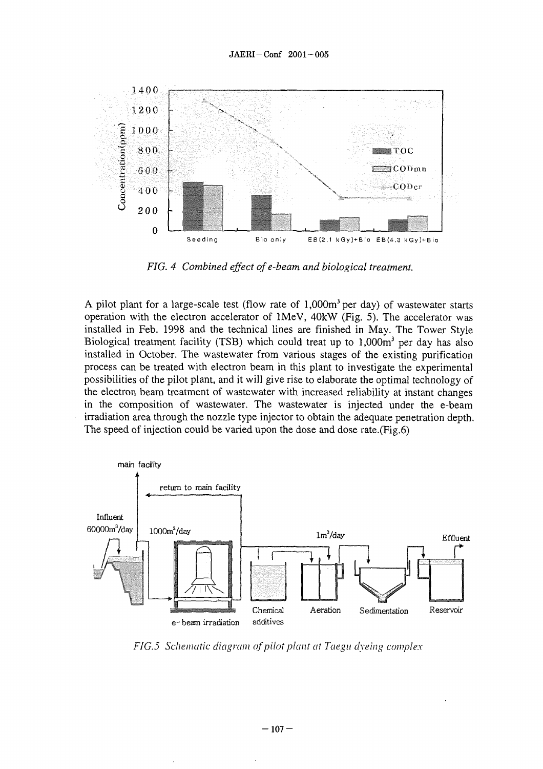

*FIG. 4 Combined effect ofe-beam and biological treatment.*

A pilot plant for a large-scale test (flow rate of 1,000m<sup>3</sup> per day) of wastewater starts operation with the electron accelerator of lMeV, 40kW (Fig. 5). The accelerator was installed in Feb. 1998 and the technical lines are finished in May. The Tower Style Biological treatment facility (TSB) which could treat up to 1,000m<sup>3</sup> per day has also installed in October. The wastewater from various stages of the existing purification process can be treated with electron beam in this plant to investigate the experimental possibilities of the pilot plant, and it will give rise to elaborate the optimal technology of the electron beam treatment of wastewater with increased reliability at instant changes in the composition of wastewater. The wastewater is injected under the e-beam irradiation area through the nozzle type injector to obtain the adequate penetration depth. The speed of injection could be varied upon the dose and dose rate.(Fig.6)



*FIG.5 Schematic diagram of pilot plant at Taegu dyeing complex*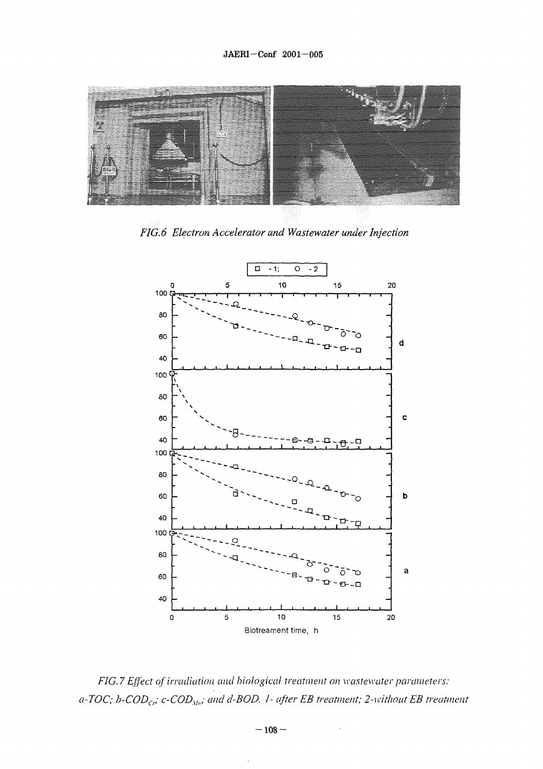

*FIG. 6 Electron Accelerator and Wastewater under Injection*



*FIG. 7 Effect of irradiation and biological treatment on wastewater parameters: a-TOC; h-CODCr; c-CODxln; and d-BOD. 1- after EB treatment; 2-without EB treatment*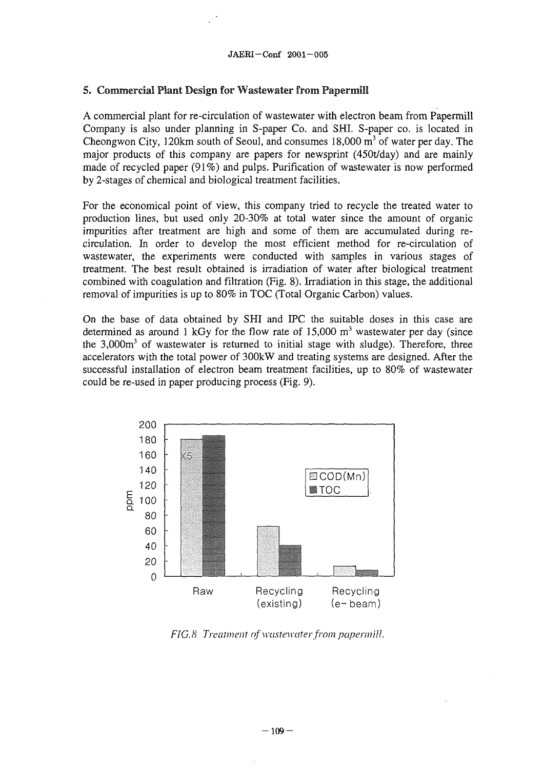# 5. Commercial Plant Design for Wastewater from Papermill

A commercial plant for re-circulation of wastewater with electron beam from Papermill Company is also under planning in S-paper Co. and SHI. S-paper co. is located in Cheongwon City, 120km south of Seoul, and consumes  $18,000 \text{ m}^3$  of water per day. The major products of this company are papers for newsprint (450t/day) and are mainly made of recycled paper (91%) and pulps. Purification of wastewater is now performed by 2-stages of chemical and biological treatment facilities.

For the economical point of view, this company tried to recycle the treated water to production lines, but used only 20-30% at total water since the amount of organic impurities after treatment are high and some of them are accumulated during recirculation. In order to develop the most efficient method for re-circulation of wastewater, the experiments were conducted with samples in various stages of treatment. The best result obtained is irradiation of water after biological treatment combined with coagulation and filtration (Fig. 8). Irradiation in this stage, the additional removal of impurities is up to 80% in TOC (Total Organic Carbon) values.

On the base of data obtained by SHI and IPC the suitable doses in this case are determined as around 1 kGy for the flow rate of 15,000  $m<sup>3</sup>$  wastewater per day (since the 3,000m<sup>3</sup> of wastewater is returned to initial stage with sludge). Therefore, three accelerators with the total power of 300kW and treating systems are designed. After the successful installation of electron beam treatment facilities, up to 80% of wastewater could be re-used in paper producing process (Fig. 9).



*FIG.& Treatment of wastewater from papenniU.*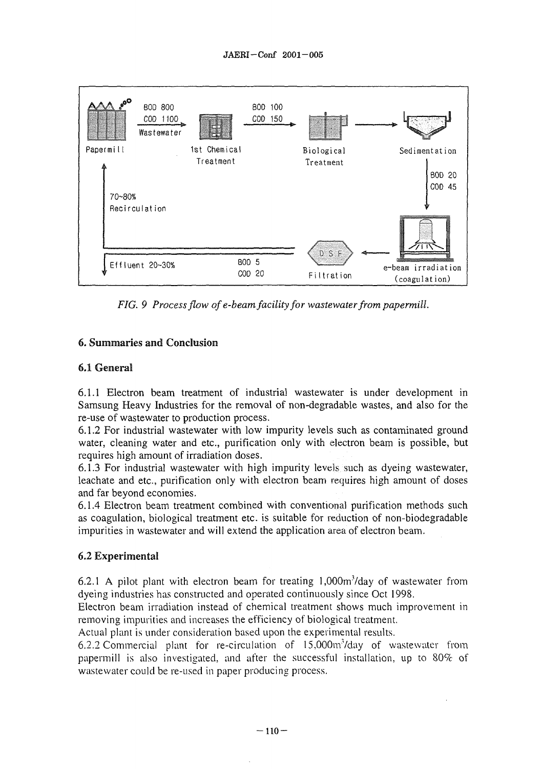

*FIG. 9 Process flow of e-beam facility for wastewater from papermill.*

# 6. Summaries and Conclusion

# 6.1 General

6.1.1 Electron beam treatment of industrial wastewater is under development in Samsung Heavy Industries for the removal of non-degradable wastes, and also for the re-use of wastewater to production process.

6.1.2 For industrial wastewater with low impurity levels such as contaminated ground water, cleaning water and etc., purification only with electron beam is possible, but requires high amount of irradiation doses.

6.1.3 For industrial wastewater with high impurity levels such as dyeing wastewater, leachate and etc., purification only with electron beam requires high amount of doses and far beyond economies.

6.1.4 Electron beam treatment combined with conventional purification methods such as coagulation, biological treatment etc. is suitable for reduction of non-biodegradable impurities in wastewater and will extend the application area of electron beam.

# 6.2 Experimental

6.2.1 A pilot plant with electron beam for treating  $1,000m<sup>3</sup>/day$  of wastewater from dyeing industries has constructed and operated continuously since Oct 1998.

Electron beam irradiation instead of chemical treatment shows much improvement in removing impurities and increases the efficiency of biological treatment.

Actual plant is under consideration based upon the experimental results.

6.2.2 Commercial plant for re-circulation of  $15,000$ m<sup>3</sup>/day of wastewater from papermill is also investigated, and after the successful installation, up to 80% of wastewater could be re-used in paper producing process.